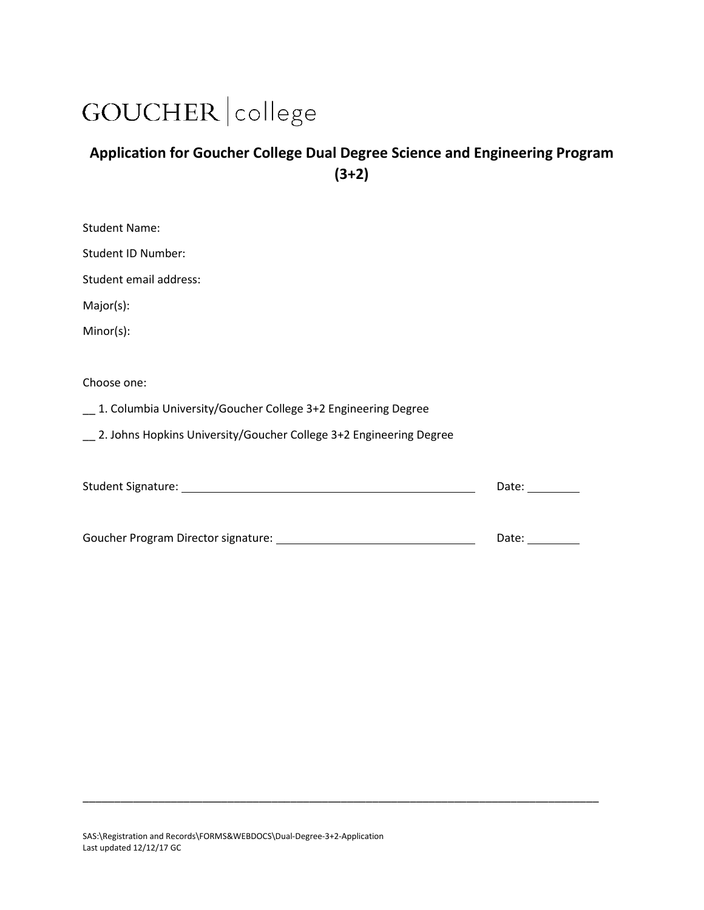## GOUCHER | college

## **Application for Goucher College Dual Degree Science and Engineering Program (3+2)**

| <b>Student Name:</b>                                                                                                                                        |       |
|-------------------------------------------------------------------------------------------------------------------------------------------------------------|-------|
| Student ID Number:                                                                                                                                          |       |
| Student email address:                                                                                                                                      |       |
| Major(s):                                                                                                                                                   |       |
| Minor(s):                                                                                                                                                   |       |
| Choose one:                                                                                                                                                 |       |
| 1. Columbia University/Goucher College 3+2 Engineering Degree                                                                                               |       |
| _ 2. Johns Hopkins University/Goucher College 3+2 Engineering Degree                                                                                        |       |
|                                                                                                                                                             | Date: |
| Goucher Program Director signature:<br><u> 1980 - Johann Barn, mars ann an t-Amhain Aonaich an t-Aonaich an t-Aonaich ann an t-Aonaich ann an t-Aonaich</u> | Date: |

\_\_\_\_\_\_\_\_\_\_\_\_\_\_\_\_\_\_\_\_\_\_\_\_\_\_\_\_\_\_\_\_\_\_\_\_\_\_\_\_\_\_\_\_\_\_\_\_\_\_\_\_\_\_\_\_\_\_\_\_\_\_\_\_\_\_\_\_\_\_\_\_\_\_\_\_\_\_\_\_\_\_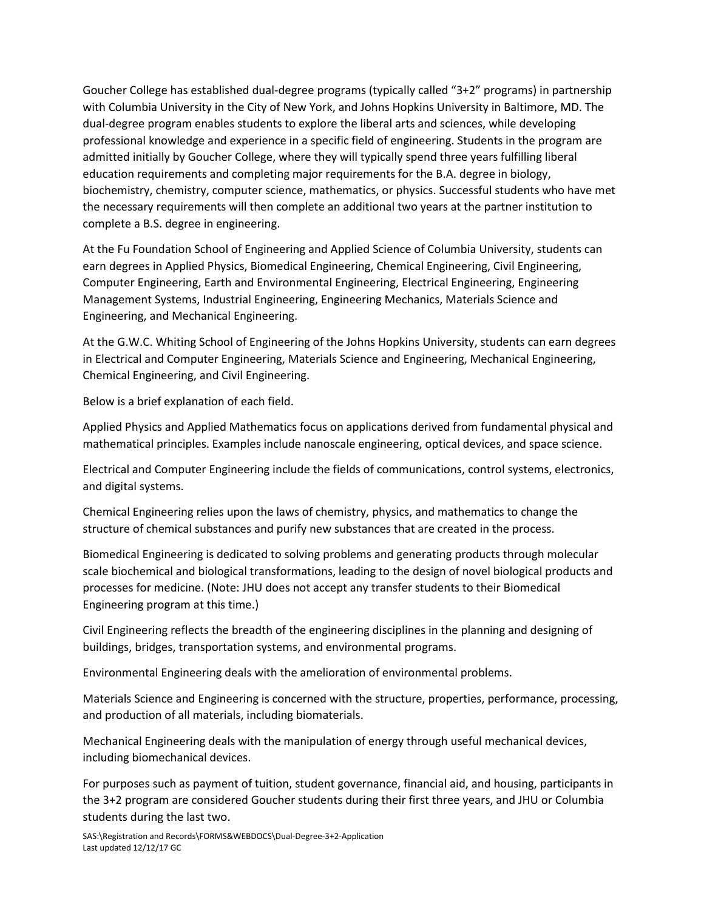Goucher College has established dual-degree programs (typically called "3+2" programs) in partnership with Columbia University in the City of New York, and Johns Hopkins University in Baltimore, MD. The dual-degree program enables students to explore the liberal arts and sciences, while developing professional knowledge and experience in a specific field of engineering. Students in the program are admitted initially by Goucher College, where they will typically spend three years fulfilling liberal education requirements and completing major requirements for the B.A. degree in biology, biochemistry, chemistry, computer science, mathematics, or physics. Successful students who have met the necessary requirements will then complete an additional two years at the partner institution to complete a B.S. degree in engineering.

At the Fu Foundation School of Engineering and Applied Science of Columbia University, students can earn degrees in Applied Physics, Biomedical Engineering, Chemical Engineering, Civil Engineering, Computer Engineering, Earth and Environmental Engineering, Electrical Engineering, Engineering Management Systems, Industrial Engineering, Engineering Mechanics, Materials Science and Engineering, and Mechanical Engineering.

At the G.W.C. Whiting School of Engineering of the Johns Hopkins University, students can earn degrees in Electrical and Computer Engineering, Materials Science and Engineering, Mechanical Engineering, Chemical Engineering, and Civil Engineering.

Below is a brief explanation of each field.

Applied Physics and Applied Mathematics focus on applications derived from fundamental physical and mathematical principles. Examples include nanoscale engineering, optical devices, and space science.

Electrical and Computer Engineering include the fields of communications, control systems, electronics, and digital systems.

Chemical Engineering relies upon the laws of chemistry, physics, and mathematics to change the structure of chemical substances and purify new substances that are created in the process.

Biomedical Engineering is dedicated to solving problems and generating products through molecular scale biochemical and biological transformations, leading to the design of novel biological products and processes for medicine. (Note: JHU does not accept any transfer students to their Biomedical Engineering program at this time.)

Civil Engineering reflects the breadth of the engineering disciplines in the planning and designing of buildings, bridges, transportation systems, and environmental programs.

Environmental Engineering deals with the amelioration of environmental problems.

Materials Science and Engineering is concerned with the structure, properties, performance, processing, and production of all materials, including biomaterials.

Mechanical Engineering deals with the manipulation of energy through useful mechanical devices, including biomechanical devices.

For purposes such as payment of tuition, student governance, financial aid, and housing, participants in the 3+2 program are considered Goucher students during their first three years, and JHU or Columbia students during the last two.

SAS:\Registration and Records\FORMS&WEBDOCS\Dual-Degree-3+2-Application Last updated 12/12/17 GC